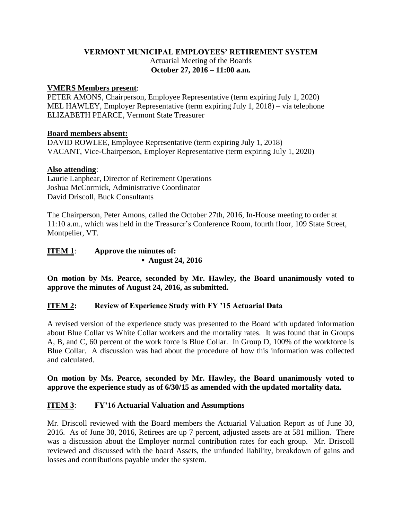### **VERMONT MUNICIPAL EMPLOYEES' RETIREMENT SYSTEM** Actuarial Meeting of the Boards **October 27, 2016 – 11:00 a.m.**

#### **VMERS Members present**:

PETER AMONS, Chairperson, Employee Representative (term expiring July 1, 2020) MEL HAWLEY, Employer Representative (term expiring July 1, 2018) – via telephone ELIZABETH PEARCE, Vermont State Treasurer

#### **Board members absent:**

DAVID ROWLEE, Employee Representative (term expiring July 1, 2018) VACANT, Vice-Chairperson, Employer Representative (term expiring July 1, 2020)

### **Also attending**:

Laurie Lanphear, Director of Retirement Operations Joshua McCormick, Administrative Coordinator David Driscoll, Buck Consultants

The Chairperson, Peter Amons, called the October 27th, 2016, In-House meeting to order at 11:10 a.m., which was held in the Treasurer's Conference Room, fourth floor, 109 State Street, Montpelier, VT.

# **ITEM 1**: **Approve the minutes of: ▪ August 24, 2016**

**On motion by Ms. Pearce, seconded by Mr. Hawley, the Board unanimously voted to approve the minutes of August 24, 2016, as submitted.**

# **ITEM 2: Review of Experience Study with FY '15 Actuarial Data**

A revised version of the experience study was presented to the Board with updated information about Blue Collar vs White Collar workers and the mortality rates. It was found that in Groups A, B, and C, 60 percent of the work force is Blue Collar. In Group D, 100% of the workforce is Blue Collar. A discussion was had about the procedure of how this information was collected and calculated.

**On motion by Ms. Pearce, seconded by Mr. Hawley, the Board unanimously voted to approve the experience study as of 6/30/15 as amended with the updated mortality data.**

# **ITEM 3**: **FY'16 Actuarial Valuation and Assumptions**

Mr. Driscoll reviewed with the Board members the Actuarial Valuation Report as of June 30, 2016. As of June 30, 2016, Retirees are up 7 percent, adjusted assets are at 581 million. There was a discussion about the Employer normal contribution rates for each group. Mr. Driscoll reviewed and discussed with the board Assets, the unfunded liability, breakdown of gains and losses and contributions payable under the system.